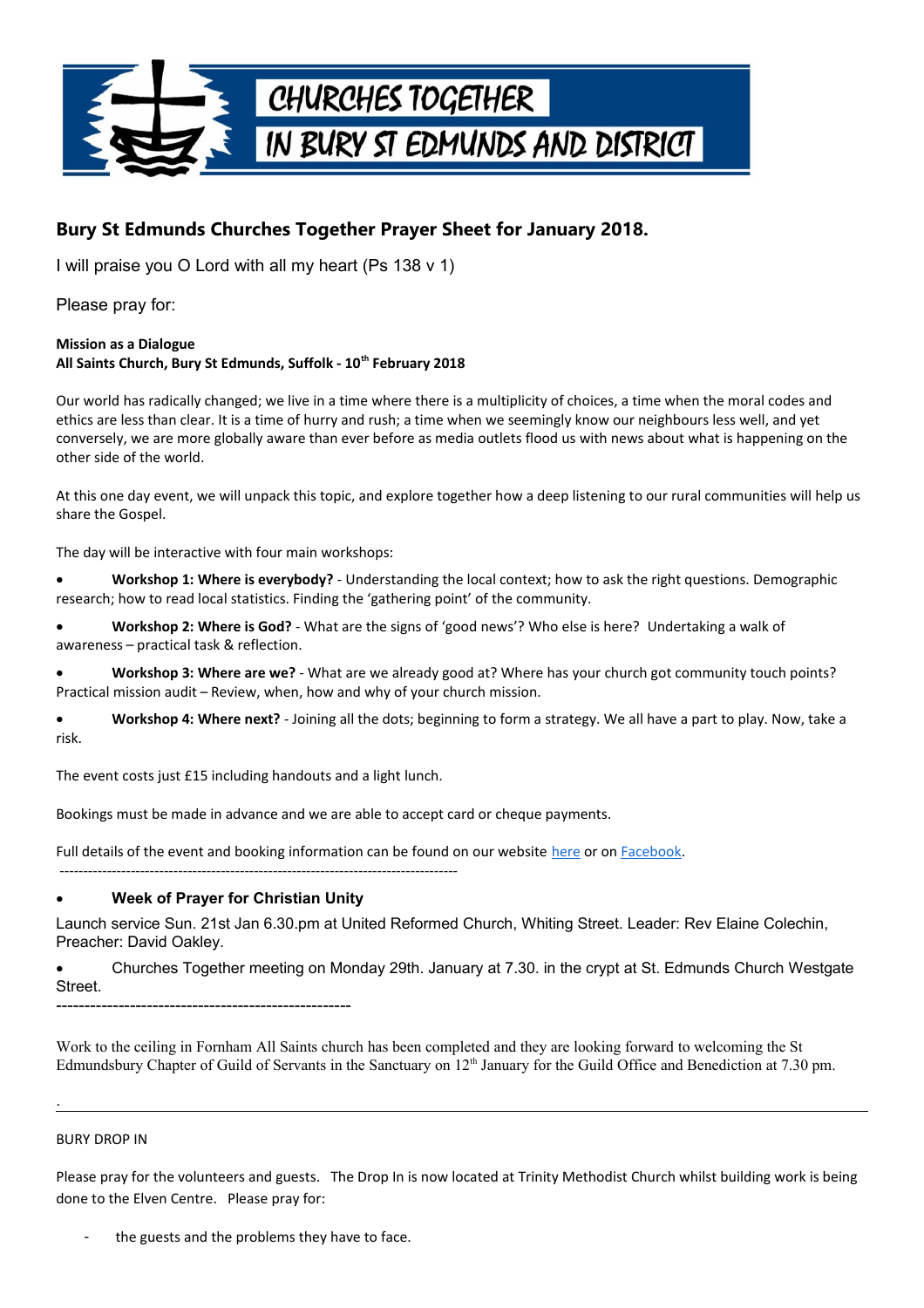

# **Bury St Edmunds Churches Together Prayer Sheet for January 2018.**

I will praise you O Lord with all my heart (Ps 138 v 1)

Please pray for:

#### **Mission as a Dialogue All Saints Church, Bury St Edmunds, Suffolk - 10th February 2018**

Our world has radically changed; we live in a time where there is a multiplicity of choices, a time when the moral codes and ethics are less than clear. It is a time of hurry and rush; a time when we seemingly know our neighbours less well, and yet conversely, we are more globally aware than ever before as media outlets flood us with news about what is happening on the other side of the world.

At this one day event, we will unpack this topic, and explore together how a deep listening to our rural communities will help us share the Gospel.

The day will be interactive with four main workshops:

 **Workshop 1: Where is everybody?** - Understanding the local context; how to ask the right questions. Demographic research; how to read local statistics. Finding the 'gathering point' of the community.

 **Workshop 2: Where is God?** - What are the signs of 'good news'? Who else is here? Undertaking a walk of awareness – practical task & reflection.

 **Workshop 3: Where are we?** - What are we already good at? Where has your church got community touch points? Practical mission audit – Review, when, how and why of your church mission.

 **Workshop 4: Where next?** - Joining all the dots; beginning to form a strategy. We all have a part to play. Now, take a risk.

The event costs just £15 including handouts and a light lunch.

------------------------------------------------------------------------------------

Bookings must be made in advance and we are able to accept card or cheque payments.

Full details of the event and booking information can be found on our website [here](https://www.ruralministries.org.uk/regionalconferences2018) or on [Facebook.](https://www.facebook.com/events/366665677109098/)

### **Week of Prayer for Christian Unity**

Launch service Sun. 21st Jan 6.30.pm at United Reformed Church, Whiting Street. Leader: Rev Elaine Colechin, Preacher: David Oakley.

 Churches Together meeting on Monday 29th. January at 7.30. in the crypt at St. Edmunds Church Westgate Street. ----------------------------------------------------

Work to the ceiling in Fornham All Saints church has been completed and they are looking forward to welcoming the St Edmundsbury Chapter of Guild of Servants in the Sanctuary on 12<sup>th</sup> January for the Guild Office and Benediction at 7.30 pm.

#### BURY DROP IN

.

Please pray for the volunteers and guests. The Drop In is now located at Trinity Methodist Church whilst building work is being done to the Elven Centre. Please pray for:

the guests and the problems they have to face.